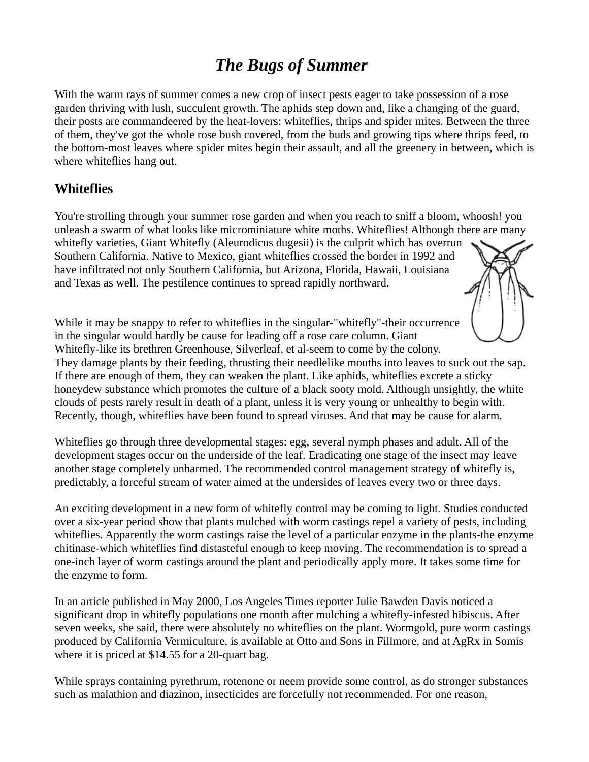# *The Bugs of Summer*

With the warm rays of summer comes a new crop of insect pests eager to take possession of a rose garden thriving with lush, succulent growth. The aphids step down and, like a changing of the guard, their posts are commandeered by the heat-lovers: whiteflies, thrips and spider mites. Between the three of them, they've got the whole rose bush covered, from the buds and growing tips where thrips feed, to the bottom-most leaves where spider mites begin their assault, and all the greenery in between, which is where whiteflies hang out.

#### **Whiteflies**

You're strolling through your summer rose garden and when you reach to sniff a bloom, whoosh! you unleash a swarm of what looks like microminiature white moths. Whiteflies! Although there are many whitefly varieties, Giant Whitefly (Aleurodicus dugesii) is the culprit which has overrun Southern California. Native to Mexico, giant whiteflies crossed the border in 1992 and have infiltrated not only Southern California, but Arizona, Florida, Hawaii, Louisiana and Texas as well. The pestilence continues to spread rapidly northward.



Whiteflies go through three developmental stages: egg, several nymph phases and adult. All of the development stages occur on the underside of the leaf. Eradicating one stage of the insect may leave another stage completely unharmed. The recommended control management strategy of whitefly is, predictably, a forceful stream of water aimed at the undersides of leaves every two or three days.

An exciting development in a new form of whitefly control may be coming to light. Studies conducted over a six-year period show that plants mulched with worm castings repel a variety of pests, including whiteflies. Apparently the worm castings raise the level of a particular enzyme in the plants-the enzyme chitinase-which whiteflies find distasteful enough to keep moving. The recommendation is to spread a one-inch layer of worm castings around the plant and periodically apply more. It takes some time for the enzyme to form.

In an article published in May 2000, Los Angeles Times reporter Julie Bawden Davis noticed a significant drop in whitefly populations one month after mulching a whitefly-infested hibiscus. After seven weeks, she said, there were absolutely no whiteflies on the plant. Wormgold, pure worm castings produced by California Vermiculture, is available at Otto and Sons in Fillmore, and at AgRx in Somis where it is priced at \$14.55 for a 20-quart bag.

While sprays containing pyrethrum, rotenone or neem provide some control, as do stronger substances such as malathion and diazinon, insecticides are forcefully not recommended. For one reason,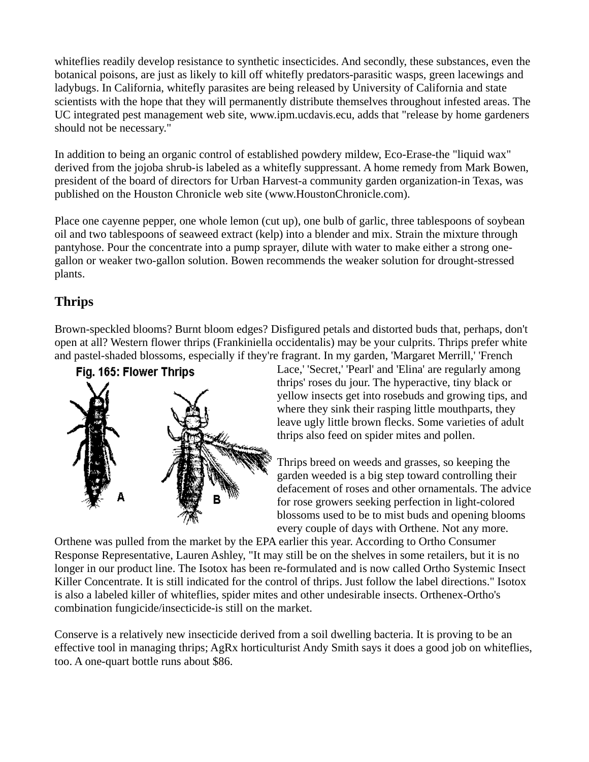whiteflies readily develop resistance to synthetic insecticides. And secondly, these substances, even the botanical poisons, are just as likely to kill off whitefly predators-parasitic wasps, green lacewings and ladybugs. In California, whitefly parasites are being released by University of California and state scientists with the hope that they will permanently distribute themselves throughout infested areas. The UC integrated pest management web site, www.ipm.ucdavis.ecu, adds that "release by home gardeners should not be necessary."

In addition to being an organic control of established powdery mildew, Eco-Erase-the "liquid wax" derived from the jojoba shrub-is labeled as a whitefly suppressant. A home remedy from Mark Bowen, president of the board of directors for Urban Harvest-a community garden organization-in Texas, was published on the Houston Chronicle web site (www.HoustonChronicle.com).

Place one cayenne pepper, one whole lemon (cut up), one bulb of garlic, three tablespoons of soybean oil and two tablespoons of seaweed extract (kelp) into a blender and mix. Strain the mixture through pantyhose. Pour the concentrate into a pump sprayer, dilute with water to make either a strong onegallon or weaker two-gallon solution. Bowen recommends the weaker solution for drought-stressed plants.

## **Thrips**

Brown-speckled blooms? Burnt bloom edges? Disfigured petals and distorted buds that, perhaps, don't open at all? Western flower thrips (Frankiniella occidentalis) may be your culprits. Thrips prefer white and pastel-shaded blossoms, especially if they're fragrant. In my garden, 'Margaret Merrill,' 'French



Lace,' 'Secret,' 'Pearl' and 'Elina' are regularly among thrips' roses du jour. The hyperactive, tiny black or yellow insects get into rosebuds and growing tips, and where they sink their rasping little mouthparts, they leave ugly little brown flecks. Some varieties of adult thrips also feed on spider mites and pollen.

Thrips breed on weeds and grasses, so keeping the garden weeded is a big step toward controlling their defacement of roses and other ornamentals. The advice for rose growers seeking perfection in light-colored blossoms used to be to mist buds and opening blooms every couple of days with Orthene. Not any more.

Orthene was pulled from the market by the EPA earlier this year. According to Ortho Consumer Response Representative, Lauren Ashley, "It may still be on the shelves in some retailers, but it is no longer in our product line. The Isotox has been re-formulated and is now called Ortho Systemic Insect Killer Concentrate. It is still indicated for the control of thrips. Just follow the label directions." Isotox is also a labeled killer of whiteflies, spider mites and other undesirable insects. Orthenex-Ortho's combination fungicide/insecticide-is still on the market.

Conserve is a relatively new insecticide derived from a soil dwelling bacteria. It is proving to be an effective tool in managing thrips; AgRx horticulturist Andy Smith says it does a good job on whiteflies, too. A one-quart bottle runs about \$86.